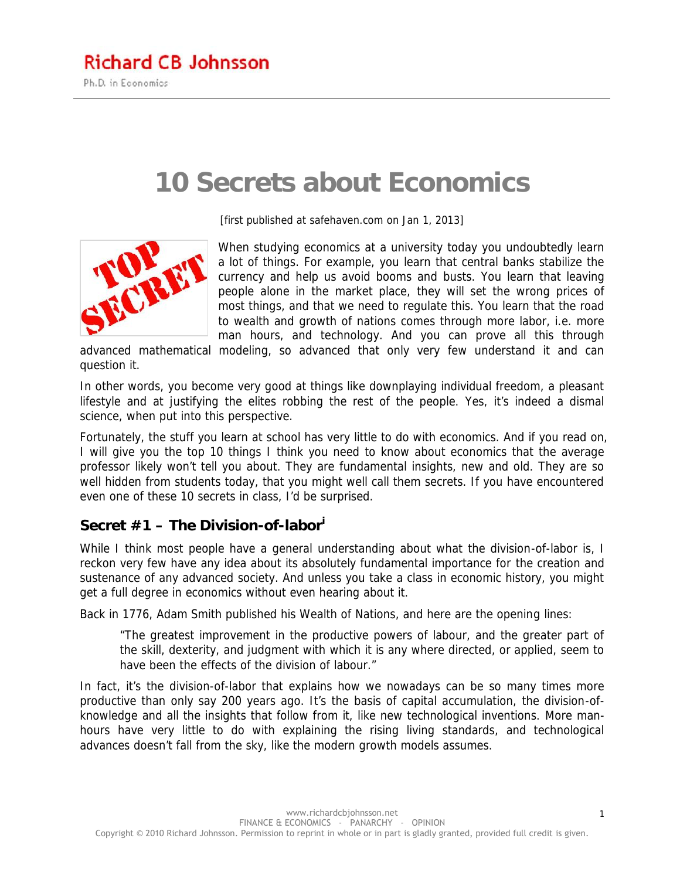# **10 Secrets about Economics**

[first published at safehaven.com on Jan 1, 2013]



When studying economics at a university today you undoubtedly learn a lot of things. For example, you learn that central banks stabilize the currency and help us avoid booms and busts. You learn that leaving people alone in the market place, they will set the wrong prices of most things, and that we need to regulate this. You learn that the road to wealth and growth of nations comes through more labor, i.e. more man hours, and technology. And you can prove all this through

advanced mathematical modeling, so advanced that only very few understand it and can question it.

In other words, you become very good at things like downplaying individual freedom, a pleasant lifestyle and at justifying the elites robbing the rest of the people. Yes, it's indeed a dismal science, when put into this perspective.

Fortunately, the stuff you learn at school has very little to do with economics. And if you read on, I will give you the top 10 things I think you need to know about economics that the average professor likely won't tell you about. They are fundamental insights, new and old. They are so well hidden from students today, that you might well call them secrets. If you have encountered even one of these 10 secrets in class, I'd be surprised.

# **Secret #1 – The Division-of-labor<sup>i</sup>**

While I think most people have a general understanding about what the division-of-labor is, I reckon very few have any idea about its absolutely fundamental importance for the creation and sustenance of any advanced society. And unless you take a class in economic history, you might get a full degree in economics without even hearing about it.

Back in 1776, Adam Smith published his Wealth of Nations, and here are the opening lines:

"The greatest improvement in the productive powers of labour, and the greater part of the skill, dexterity, and judgment with which it is any where directed, or applied, seem to have been the effects of the division of labour."

In fact, it's the division-of-labor that explains how we nowadays can be so many times more productive than only say 200 years ago. It's the basis of capital accumulation, the division-of knowledge and all the insights that follow from it, like new technological inventions. More man hours have very little to do with explaining the rising living standards, and technological advances doesn't fall from the sky, like the modern growth models assumes.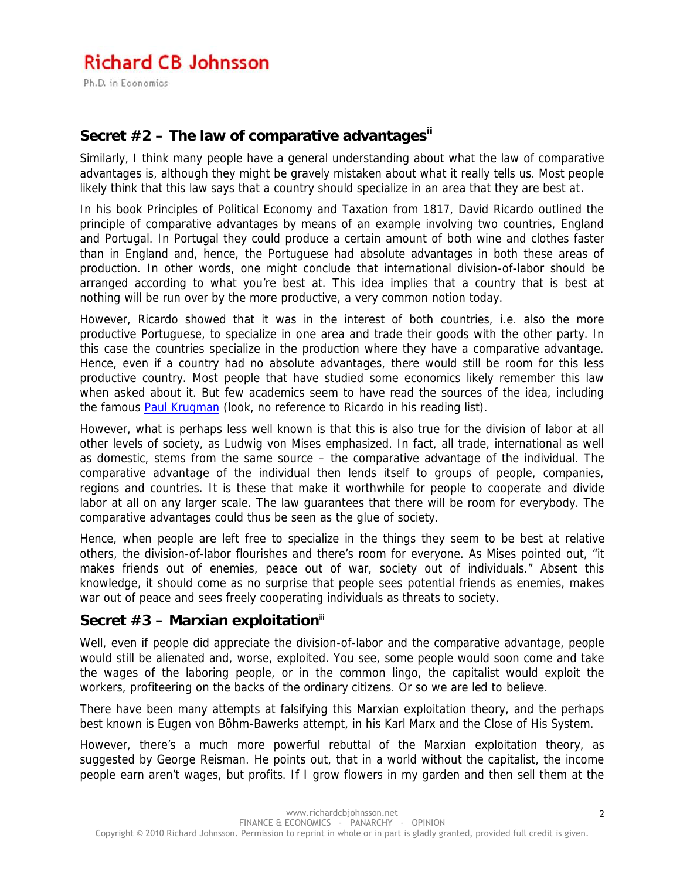# **Secret #2 – The law of comparative advantagesii**

Similarly, I think many people have a general understanding about what the law of comparative advantages is, although they might be gravely mistaken about what it really tells us. Most people likely think that this law says that a country should specialize in an area that they are best at.

In his book Principles of Political Economy and Taxation from 1817, David Ricardo outlined the principle of comparative advantages by means of an example involving two countries, England and Portugal. In Portugal they could produce a certain amount of both wine and clothes faster than in England and, hence, the Portuguese had absolute advantages in both these areas of production. In other words, one might conclude that international division-of-labor should be arranged according to what you're best at. This idea implies that a country that is best at nothing will be run over by the more productive, a very common notion today.

However, Ricardo showed that it was in the interest of both countries, i.e. also the more productive Portuguese, to specialize in one area and trade their goods with the other party. In this case the countries specialize in the production where they have a comparative advantage. Hence, even if a country had no absolute advantages, there would still be room for this less productive country. Most people that have studied some economics likely remember this law when asked about it. But few academics seem to have read the sources of the idea, including the famous **Paul Krugman** (look, no reference to Ricardo in his reading list).

However, what is perhaps less well known is that this is also true for the division of labor at all other levels of society, as Ludwig von Mises emphasized. In fact, all trade, international as well as domestic, stems from the same source – the comparative advantage of the individual. The comparative advantage of the individual then lends itself to groups of people, companies, regions and countries. It is these that make it worthwhile for people to cooperate and divide labor at all on any larger scale. The law guarantees that there will be room for everybody. The comparative advantages could thus be seen as the glue of society.

Hence, when people are left free to specialize in the things they seem to be best at relative others, the division-of-labor flourishes and there's room for everyone. As Mises pointed out, "it makes friends out of enemies, peace out of war, society out of individuals." Absent this knowledge, it should come as no surprise that people sees potential friends as enemies, makes war out of peace and sees freely cooperating individuals as threats to society.

## **Secret #3 – Marxian exploitation**iii

Well, even if people did appreciate the division-of-labor and the comparative advantage, people would still be alienated and, worse, exploited. You see, some people would soon come and take the wages of the laboring people, or in the common lingo, the capitalist would exploit the workers, profiteering on the backs of the ordinary citizens. Or so we are led to believe.

There have been many attempts at falsifying this Marxian exploitation theory, and the perhaps best known is Eugen von Böhm-Bawerks attempt, in his Karl Marx and the Close of His System.

However, there's a much more powerful rebuttal of the Marxian exploitation theory, as suggested by George Reisman. He points out, that in a world without the capitalist, the income people earn aren't wages, but profits. If I grow flowers in my garden and then sell them at the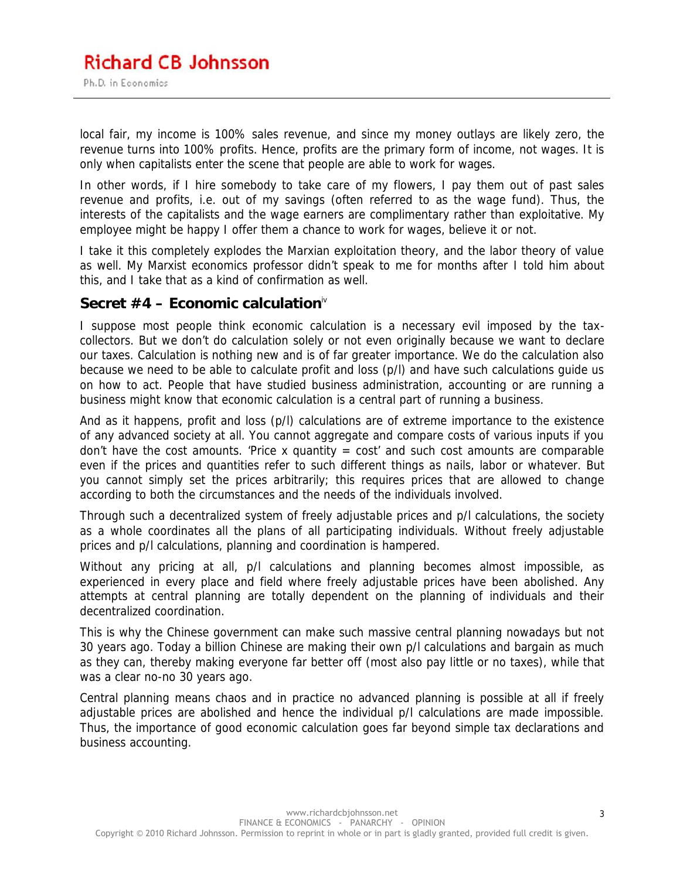local fair, my income is 100% sales revenue, and since my money outlays are likely zero, the revenue turns into 100% profits. Hence, profits are the primary form of income, not wages. It is only when capitalists enter the scene that people are able to work for wages.

In other words, if I hire somebody to take care of my flowers, I pay them out of past sales revenue and profits, i.e. out of my savings (often referred to as the wage fund). Thus, the interests of the capitalists and the wage earners are complimentary rather than exploitative. My employee might be happy I offer them a chance to work for wages, believe it or not.

I take it this completely explodes the Marxian exploitation theory, and the labor theory of value as well. My Marxist economics professor didn't speak to me for months after I told him about this, and I take that as a kind of confirmation as well.

#### **Secret #4 – Economic calculation**iv

I suppose most people think economic calculation is a necessary evil imposed by the tax collectors. But we don't do calculation solely or not even originally because we want to declare our taxes. Calculation is nothing new and is of far greater importance. We do the calculation also because we need to be able to calculate profit and loss (p/l) and have such calculations guide us on how to act. People that have studied business administration, accounting or are running a business might know that economic calculation is a central part of running a business.

And as it happens, profit and loss (p/l) calculations are of extreme importance to the existence of any advanced society at all. You cannot aggregate and compare costs of various inputs if you don't have the cost amounts. 'Price x quantity  $=$  cost' and such cost amounts are comparable even if the prices and quantities refer to such different things as nails, labor or whatever. But you cannot simply set the prices arbitrarily; this requires prices that are allowed to change according to both the circumstances and the needs of the individuals involved.

Through such a decentralized system of freely adjustable prices and p/l calculations, the society as a whole coordinates all the plans of all participating individuals. Without freely adjustable prices and p/l calculations, planning and coordination is hampered.

Without any pricing at all, p/l calculations and planning becomes almost impossible, as experienced in every place and field where freely adjustable prices have been abolished. Any attempts at central planning are totally dependent on the planning of individuals and their decentralized coordination.

This is why the Chinese government can make such massive central planning nowadays but not 30 years ago. Today a billion Chinese are making their own p/l calculations and bargain as much as they can, thereby making everyone far better off (most also pay little or no taxes), while that was a clear no-no 30 years ago.

Central planning means chaos and in practice no advanced planning is possible at all if freely adjustable prices are abolished and hence the individual p/l calculations are made impossible. Thus, the importance of good economic calculation goes far beyond simple tax declarations and business accounting.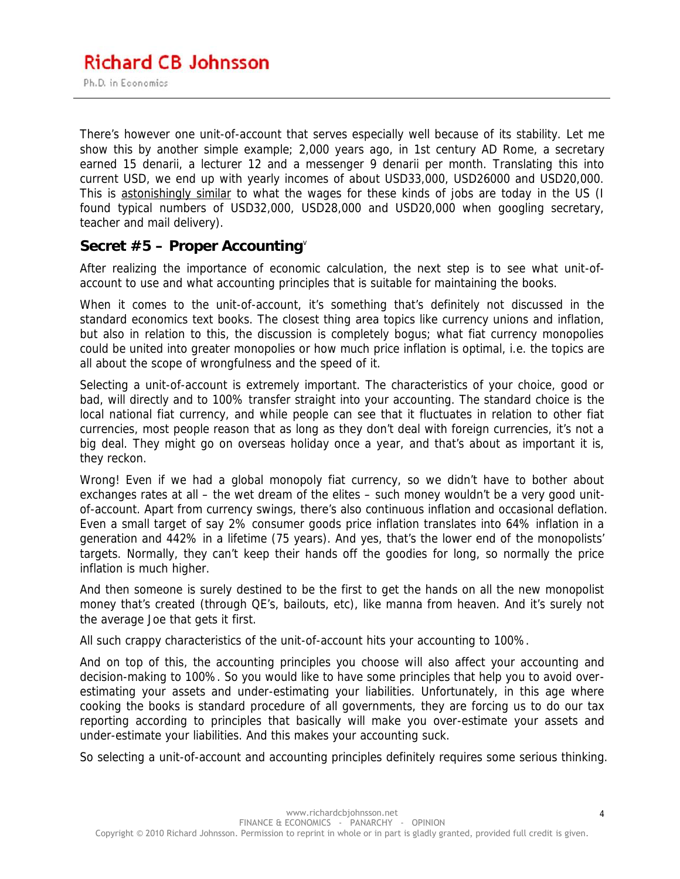There's however one unit-of-account that serves especially well because of its stability. Let me show this by another simple example; 2,000 years ago, in 1st century AD Rome, a secretary earned 15 denarii, a lecturer 12 and a messenger 9 denarii per month. Translating this into current USD, we end up with yearly incomes of about USD33,000, USD26000 and USD20,000. This is astonishingly similar to what the wages for these kinds of jobs are today in the US (I found typical numbers of USD32,000, USD28,000 and USD20,000 when googling secretary, teacher and mail delivery).

#### **Secret #5 – Proper Accounting**<sup>v</sup>

After realizing the importance of economic calculation, the next step is to see what unit-of account to use and what accounting principles that is suitable for maintaining the books.

When it comes to the unit-of-account, it's something that's definitely not discussed in the standard economics text books. The closest thing area topics like currency unions and inflation, but also in relation to this, the discussion is completely bogus; what fiat currency monopolies could be united into greater monopolies or how much price inflation is optimal, i.e. the topics are all about the scope of wrongfulness and the speed of it.

Selecting a unit-of-account is extremely important. The characteristics of your choice, good or bad, will directly and to 100% transfer straight into your accounting. The standard choice is the local national fiat currency, and while people can see that it fluctuates in relation to other fiat currencies, most people reason that as long as they don't deal with foreign currencies, it's not a big deal. They might go on overseas holiday once a year, and that's about as important it is, they reckon.

Wrong! Even if we had a global monopoly fiat currency, so we didn't have to bother about exchanges rates at all – the wet dream of the elites – such money wouldn't be a very good unit of-account. Apart from currency swings, there's also continuous inflation and occasional deflation. Even a small target of say 2% consumer goods price inflation translates into 64% inflation in a generation and 442% in a lifetime (75 years). And yes, that's the lower end of the monopolists' targets. Normally, they can't keep their hands off the goodies for long, so normally the price inflation is much higher.

And then someone is surely destined to be the first to get the hands on all the new monopolist money that's created (through QE's, bailouts, etc), like manna from heaven. And it's surely not the average Joe that gets it first.

All such crappy characteristics of the unit-of-account hits your accounting to 100%.

And on top of this, the accounting principles you choose will also affect your accounting and decision-making to 100%. So you would like to have some principles that help you to avoid over estimating your assets and under-estimating your liabilities. Unfortunately, in this age where cooking the books is standard procedure of all governments, they are forcing us to do our tax reporting according to principles that basically will make you over-estimate your assets and under-estimate your liabilities. And this makes your accounting suck.

So selecting a unit-of-account and accounting principles definitely requires some serious thinking.

4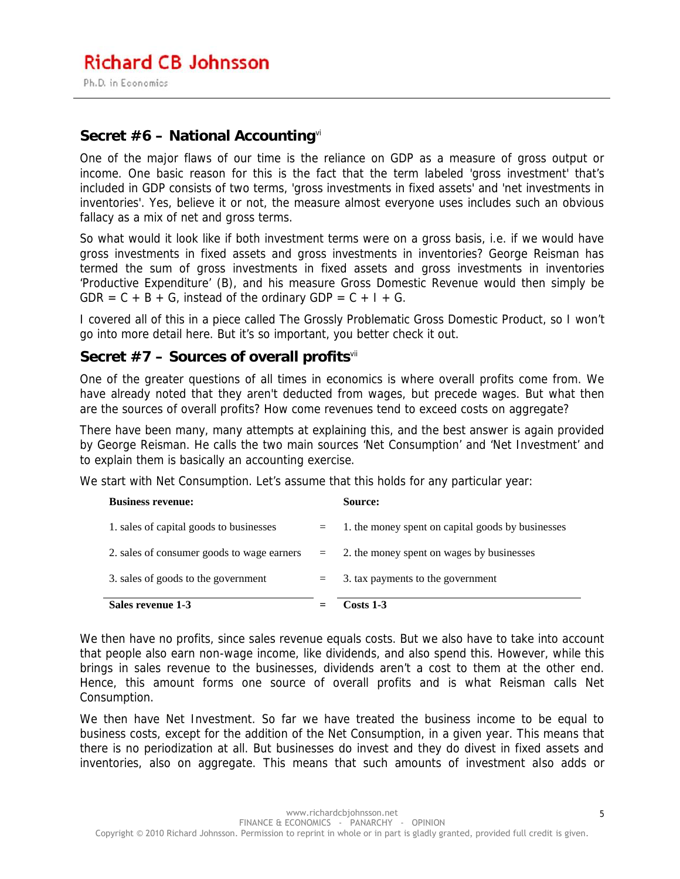## **Secret #6 – National Accounting**vi

One of the major flaws of our time is the reliance on GDP as a measure of gross output or income. One basic reason for this is the fact that the term labeled 'gross investment' that's included in GDP consists of two terms, 'gross investments in fixed assets' and 'net investments in inventories'. Yes, believe it or not, the measure almost everyone uses includes such an obvious fallacy as a mix of net and gross terms.

So what would it look like if both investment terms were on a gross basis, i.e. if we would have gross investments in fixed assets and gross investments in inventories? George Reisman has termed the sum of gross investments in fixed assets and gross investments in inventories 'Productive Expenditure' (B), and his measure Gross Domestic Revenue would then simply be  $GDR = C + B + G$ , instead of the ordinary  $GDP = C + I + G$ .

I covered all of this in a piece called The Grossly Problematic Gross Domestic Product, so I won't go into more detail here. But it's so important, you better check it out.

#### **Secret #7 – Sources of overall profits**vii

One of the greater questions of all times in economics is where overall profits come from. We have already noted that they aren't deducted from wages, but precede wages. But what then are the sources of overall profits? How come revenues tend to exceed costs on aggregate?

There have been many, many attempts at explaining this, and the best answer is again provided by George Reisman. He calls the two main sources 'Net Consumption' and 'Net Investment' and to explain them is basically an accounting exercise.

We start with Net Consumption. Let's assume that this holds for any particular year:

| <b>Business revenue:</b>                   |     | Source:                                               |
|--------------------------------------------|-----|-------------------------------------------------------|
| 1. sales of capital goods to businesses    |     | $=$ 1. the money spent on capital goods by businesses |
| 2. sales of consumer goods to wage earners |     | $=$ 2. the money spent on wages by businesses         |
| 3. sales of goods to the government        | $=$ | 3. tax payments to the government                     |
| Sales revenue 1-3                          |     | <b>Costs 1-3</b>                                      |

We then have no profits, since sales revenue equals costs. But we also have to take into account that people also earn non-wage income, like dividends, and also spend this. However, while this brings in sales revenue to the businesses, dividends aren't a cost to them at the other end. Hence, this amount forms one source of overall profits and is what Reisman calls Net Consumption.

We then have Net Investment. So far we have treated the business income to be equal to business costs, except for the addition of the Net Consumption, in a given year. This means that there is no periodization at all. But businesses do invest and they do divest in fixed assets and inventories, also on aggregate. This means that such amounts of investment also adds or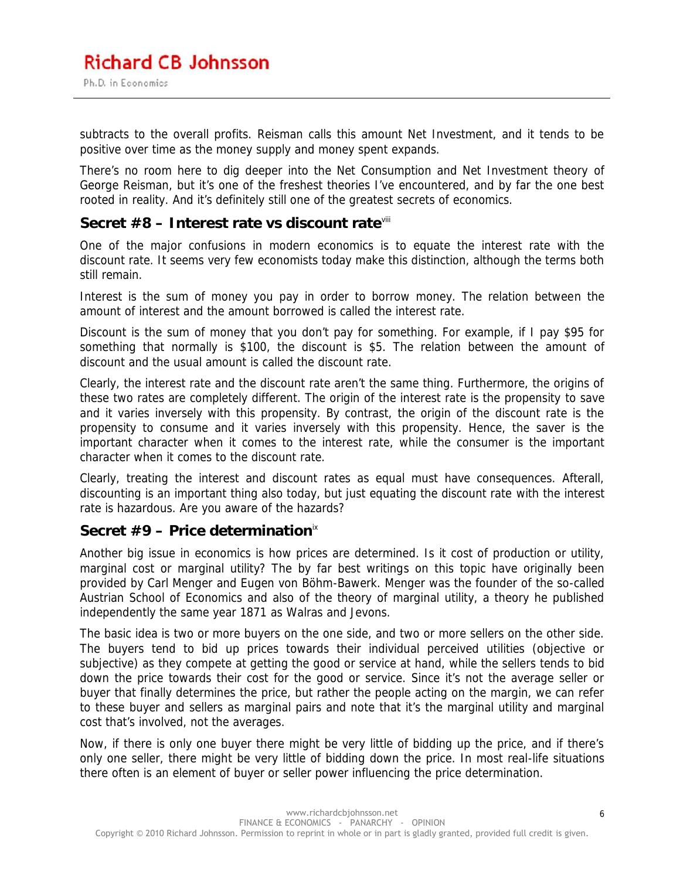subtracts to the overall profits. Reisman calls this amount Net Investment, and it tends to be positive over time as the money supply and money spent expands.

There's no room here to dig deeper into the Net Consumption and Net Investment theory of George Reisman, but it's one of the freshest theories I've encountered, and by far the one best rooted in reality. And it's definitely still one of the greatest secrets of economics.

#### **Secret #8 – Interest rate vs discount rate**viii

One of the major confusions in modern economics is to equate the interest rate with the discount rate. It seems very few economists today make this distinction, although the terms both still remain.

Interest is the sum of money you pay in order to borrow money. The relation between the amount of interest and the amount borrowed is called the interest rate.

Discount is the sum of money that you don't pay for something. For example, if I pay \$95 for something that normally is \$100, the discount is \$5. The relation between the amount of discount and the usual amount is called the discount rate.

Clearly, the interest rate and the discount rate aren't the same thing. Furthermore, the origins of these two rates are completely different. The origin of the interest rate is the propensity to save and it varies inversely with this propensity. By contrast, the origin of the discount rate is the propensity to consume and it varies inversely with this propensity. Hence, the saver is the important character when it comes to the interest rate, while the consumer is the important character when it comes to the discount rate.

Clearly, treating the interest and discount rates as equal must have consequences. Afterall, discounting is an important thing also today, but just equating the discount rate with the interest rate is hazardous. Are you aware of the hazards?

#### **Secret #9 – Price determination**ix

Another big issue in economics is how prices are determined. Is it cost of production or utility, marginal cost or marginal utility? The by far best writings on this topic have originally been provided by Carl Menger and Eugen von Böhm-Bawerk. Menger was the founder of the so-called Austrian School of Economics and also of the theory of marginal utility, a theory he published independently the same year 1871 as Walras and Jevons.

The basic idea is two or more buyers on the one side, and two or more sellers on the other side. The buyers tend to bid up prices towards their individual perceived utilities (objective or subjective) as they compete at getting the good or service at hand, while the sellers tends to bid down the price towards their cost for the good or service. Since it's not the average seller or buyer that finally determines the price, but rather the people acting on the margin, we can refer to these buyer and sellers as marginal pairs and note that it's the marginal utility and marginal cost that's involved, not the averages.

Now, if there is only one buyer there might be very little of bidding up the price, and if there's only one seller, there might be very little of bidding down the price. In most real-life situations there often is an element of buyer or seller power influencing the price determination.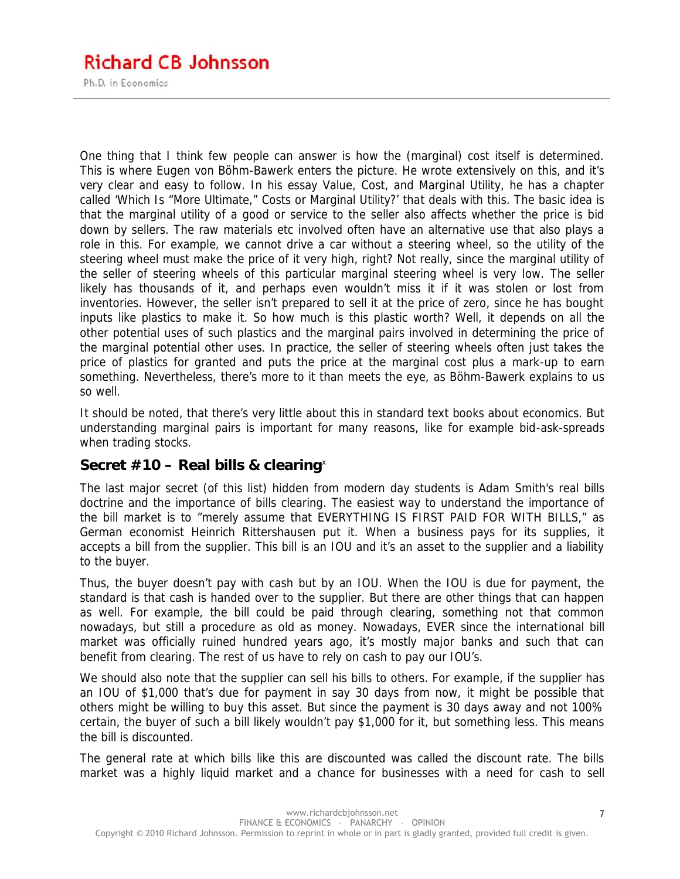# **Richard CB Johnsson** Ph.D. in Economics

One thing that I think few people can answer is how the (marginal) cost itself is determined. This is where Eugen von Böhm-Bawerk enters the picture. He wrote extensively on this, and it's very clear and easy to follow. In his essay Value, Cost, and Marginal Utility, he has a chapter called 'Which Is "More Ultimate," Costs or Marginal Utility?' that deals with this. The basic idea is that the marginal utility of a good or service to the seller also affects whether the price is bid down by sellers. The raw materials etc involved often have an alternative use that also plays a role in this. For example, we cannot drive a car without a steering wheel, so the utility of the steering wheel must make the price of it very high, right? Not really, since the marginal utility of the seller of steering wheels of this particular marginal steering wheel is very low. The seller likely has thousands of it, and perhaps even wouldn't miss it if it was stolen or lost from inventories. However, the seller isn't prepared to sell it at the price of zero, since he has bought inputs like plastics to make it. So how much is this plastic worth? Well, it depends on all the other potential uses of such plastics and the marginal pairs involved in determining the price of the marginal potential other uses. In practice, the seller of steering wheels often just takes the price of plastics for granted and puts the price at the marginal cost plus a mark-up to earn something. Nevertheless, there's more to it than meets the eye, as Böhm-Bawerk explains to us so well.

It should be noted, that there's very little about this in standard text books about economics. But understanding marginal pairs is important for many reasons, like for example bid-ask-spreads when trading stocks.

## **Secret #10 – Real bills & clearing**<sup>x</sup>

The last major secret (of this list) hidden from modern day students is Adam Smith's real bills doctrine and the importance of bills clearing. The easiest way to understand the importance of the bill market is to "merely assume that EVERYTHING IS FIRST PAID FOR WITH BILLS," as German economist Heinrich Rittershausen put it. When a business pays for its supplies, it accepts a bill from the supplier. This bill is an IOU and it's an asset to the supplier and a liability to the buyer.

Thus, the buyer doesn't pay with cash but by an IOU. When the IOU is due for payment, the standard is that cash is handed over to the supplier. But there are other things that can happen as well. For example, the bill could be paid through clearing, something not that common nowadays, but still a procedure as old as money. Nowadays, EVER since the international bill market was officially ruined hundred years ago, it's mostly major banks and such that can benefit from clearing. The rest of us have to rely on cash to pay our IOU's.

We should also note that the supplier can sell his bills to others. For example, if the supplier has an IOU of \$1,000 that's due for payment in say 30 days from now, it might be possible that others might be willing to buy this asset. But since the payment is 30 days away and not 100% certain, the buyer of such a bill likely wouldn't pay \$1,000 for it, but something less. This means the bill is discounted.

The general rate at which bills like this are discounted was called the discount rate. The bills market was a highly liquid market and a chance for businesses with a need for cash to sell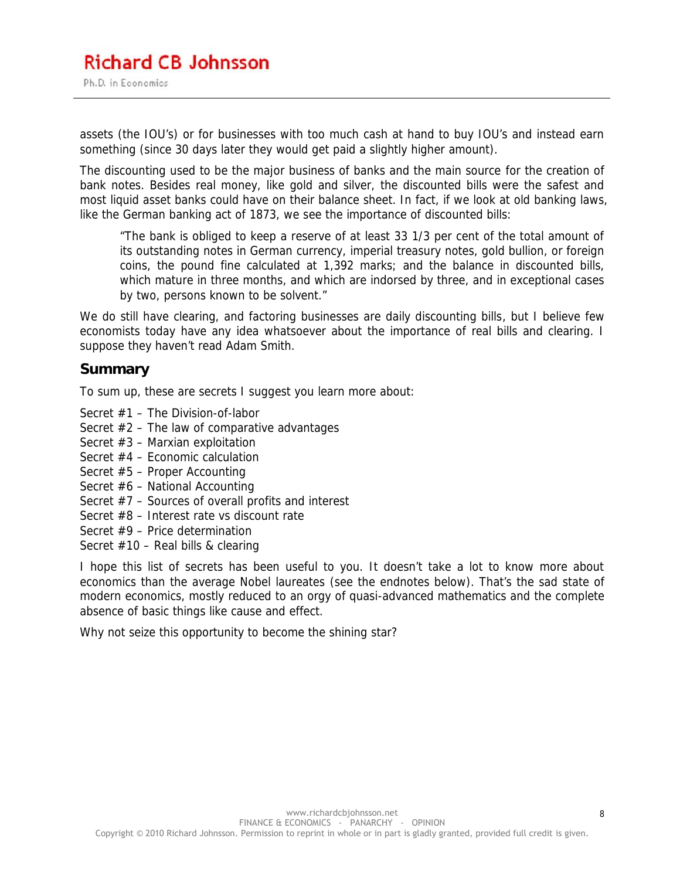assets (the IOU's) or for businesses with too much cash at hand to buy IOU's and instead earn something (since 30 days later they would get paid a slightly higher amount).

The discounting used to be the major business of banks and the main source for the creation of bank notes. Besides real money, like gold and silver, the discounted bills were the safest and most liquid asset banks could have on their balance sheet. In fact, if we look at old banking laws, like the German banking act of 1873, we see the importance of discounted bills:

"The bank is obliged to keep a reserve of at least 33 1/3 per cent of the total amount of its outstanding notes in German currency, imperial treasury notes, gold bullion, or foreign coins, the pound fine calculated at 1,392 marks; and the balance in discounted bills, which mature in three months, and which are indorsed by three, and in exceptional cases by two, persons known to be solvent."

We do still have clearing, and factoring businesses are daily discounting bills, but I believe few economists today have any idea whatsoever about the importance of real bills and clearing. I suppose they haven't read Adam Smith.

#### **Summary**

To sum up, these are secrets I suggest you learn more about:

- Secret #1 The Division-of-labor
- Secret #2 The law of comparative advantages
- Secret #3 Marxian exploitation
- Secret #4 Economic calculation
- Secret #5 Proper Accounting
- Secret #6 National Accounting
- Secret #7 Sources of overall profits and interest
- Secret #8 Interest rate vs discount rate
- Secret #9 Price determination
- Secret #10 Real bills & clearing

I hope this list of secrets has been useful to you. It doesn't take a lot to know more about economics than the average Nobel laureates (see the endnotes below). That's the sad state of modern economics, mostly reduced to an orgy of quasi-advanced mathematics and the complete absence of basic things like cause and effect.

Why not seize this opportunity to become the shining star?